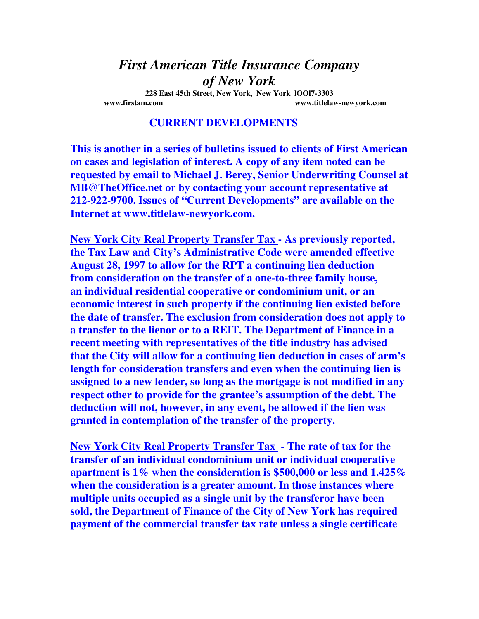## *First American Title Insurance Company of New York*

**228 East 45th Street, New York, New York lOOl7-3303 www.firstam.com www.titlelaw-newyork.com** 

## **CURRENT DEVELOPMENTS**

**This is another in a series of bulletins issued to clients of First American on cases and legislation of interest. A copy of any item noted can be requested by email to Michael J. Berey, Senior Underwriting Counsel at MB@TheOffice.net or by contacting your account representative at 212-922-9700. Issues of "Current Developments" are available on the Internet at www.titlelaw-newyork.com.** 

**New York City Real Property Transfer Tax - As previously reported, the Tax Law and City's Administrative Code were amended effective August 28, 1997 to allow for the RPT a continuing lien deduction from consideration on the transfer of a one-to-three family house, an individual residential cooperative or condominium unit, or an economic interest in such property if the continuing lien existed before the date of transfer. The exclusion from consideration does not apply to a transfer to the lienor or to a REIT. The Department of Finance in a recent meeting with representatives of the title industry has advised that the City will allow for a continuing lien deduction in cases of arm's length for consideration transfers and even when the continuing lien is assigned to a new lender, so long as the mortgage is not modified in any respect other to provide for the grantee's assumption of the debt. The deduction will not, however, in any event, be allowed if the lien was granted in contemplation of the transfer of the property.** 

**New York City Real Property Transfer Tax - The rate of tax for the transfer of an individual condominium unit or individual cooperative apartment is 1% when the consideration is \$500,000 or less and 1.425% when the consideration is a greater amount. In those instances where multiple units occupied as a single unit by the transferor have been sold, the Department of Finance of the City of New York has required payment of the commercial transfer tax rate unless a single certificate**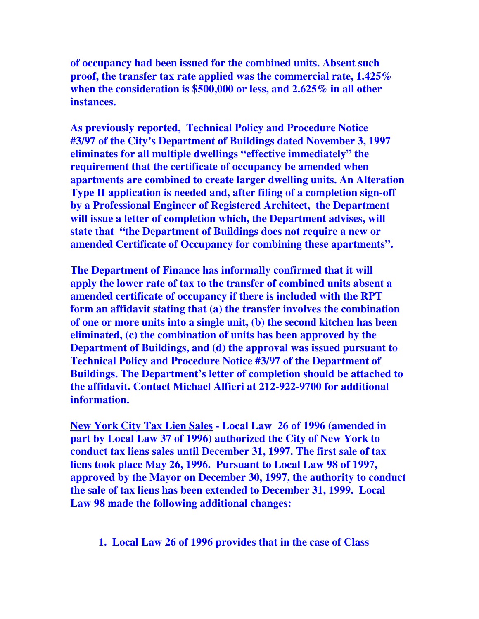**of occupancy had been issued for the combined units. Absent such proof, the transfer tax rate applied was the commercial rate, 1.425% when the consideration is \$500,000 or less, and 2.625% in all other instances.** 

**As previously reported, Technical Policy and Procedure Notice #3/97 of the City's Department of Buildings dated November 3, 1997 eliminates for all multiple dwellings "effective immediately" the requirement that the certificate of occupancy be amended when apartments are combined to create larger dwelling units. An Alteration Type II application is needed and, after filing of a completion sign-off by a Professional Engineer of Registered Architect, the Department will issue a letter of completion which, the Department advises, will state that "the Department of Buildings does not require a new or amended Certificate of Occupancy for combining these apartments".** 

**The Department of Finance has informally confirmed that it will apply the lower rate of tax to the transfer of combined units absent a amended certificate of occupancy if there is included with the RPT form an affidavit stating that (a) the transfer involves the combination of one or more units into a single unit, (b) the second kitchen has been eliminated, (c) the combination of units has been approved by the Department of Buildings, and (d) the approval was issued pursuant to Technical Policy and Procedure Notice #3/97 of the Department of Buildings. The Department's letter of completion should be attached to the affidavit. Contact Michael Alfieri at 212-922-9700 for additional information.** 

**New York City Tax Lien Sales - Local Law 26 of 1996 (amended in part by Local Law 37 of 1996) authorized the City of New York to conduct tax liens sales until December 31, 1997. The first sale of tax liens took place May 26, 1996. Pursuant to Local Law 98 of 1997, approved by the Mayor on December 30, 1997, the authority to conduct the sale of tax liens has been extended to December 31, 1999. Local Law 98 made the following additional changes:** 

## **1. Local Law 26 of 1996 provides that in the case of Class**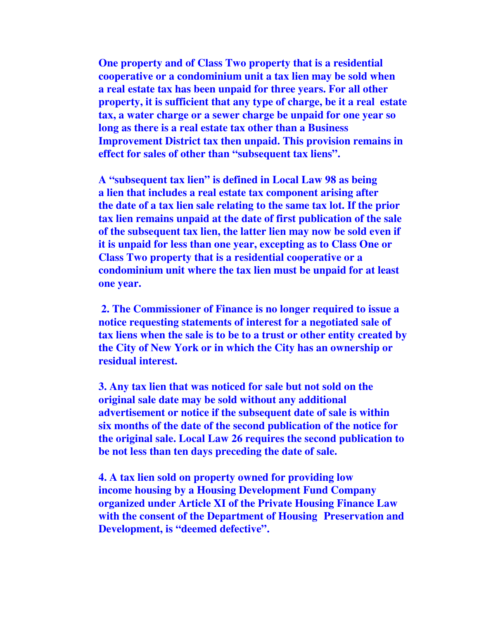**One property and of Class Two property that is a residential cooperative or a condominium unit a tax lien may be sold when a real estate tax has been unpaid for three years. For all other property, it is sufficient that any type of charge, be it a real estate tax, a water charge or a sewer charge be unpaid for one year so long as there is a real estate tax other than a Business Improvement District tax then unpaid. This provision remains in effect for sales of other than "subsequent tax liens".** 

 **A "subsequent tax lien" is defined in Local Law 98 as being a lien that includes a real estate tax component arising after the date of a tax lien sale relating to the same tax lot. If the prior tax lien remains unpaid at the date of first publication of the sale of the subsequent tax lien, the latter lien may now be sold even if it is unpaid for less than one year, excepting as to Class One or Class Two property that is a residential cooperative or a condominium unit where the tax lien must be unpaid for at least one year.** 

 **2. The Commissioner of Finance is no longer required to issue a notice requesting statements of interest for a negotiated sale of tax liens when the sale is to be to a trust or other entity created by the City of New York or in which the City has an ownership or residual interest.** 

**3. Any tax lien that was noticed for sale but not sold on the original sale date may be sold without any additional advertisement or notice if the subsequent date of sale is within six months of the date of the second publication of the notice for the original sale. Local Law 26 requires the second publication to be not less than ten days preceding the date of sale.** 

**4. A tax lien sold on property owned for providing low income housing by a Housing Development Fund Company organized under Article XI of the Private Housing Finance Law with the consent of the Department of Housing Preservation and Development, is "deemed defective".**